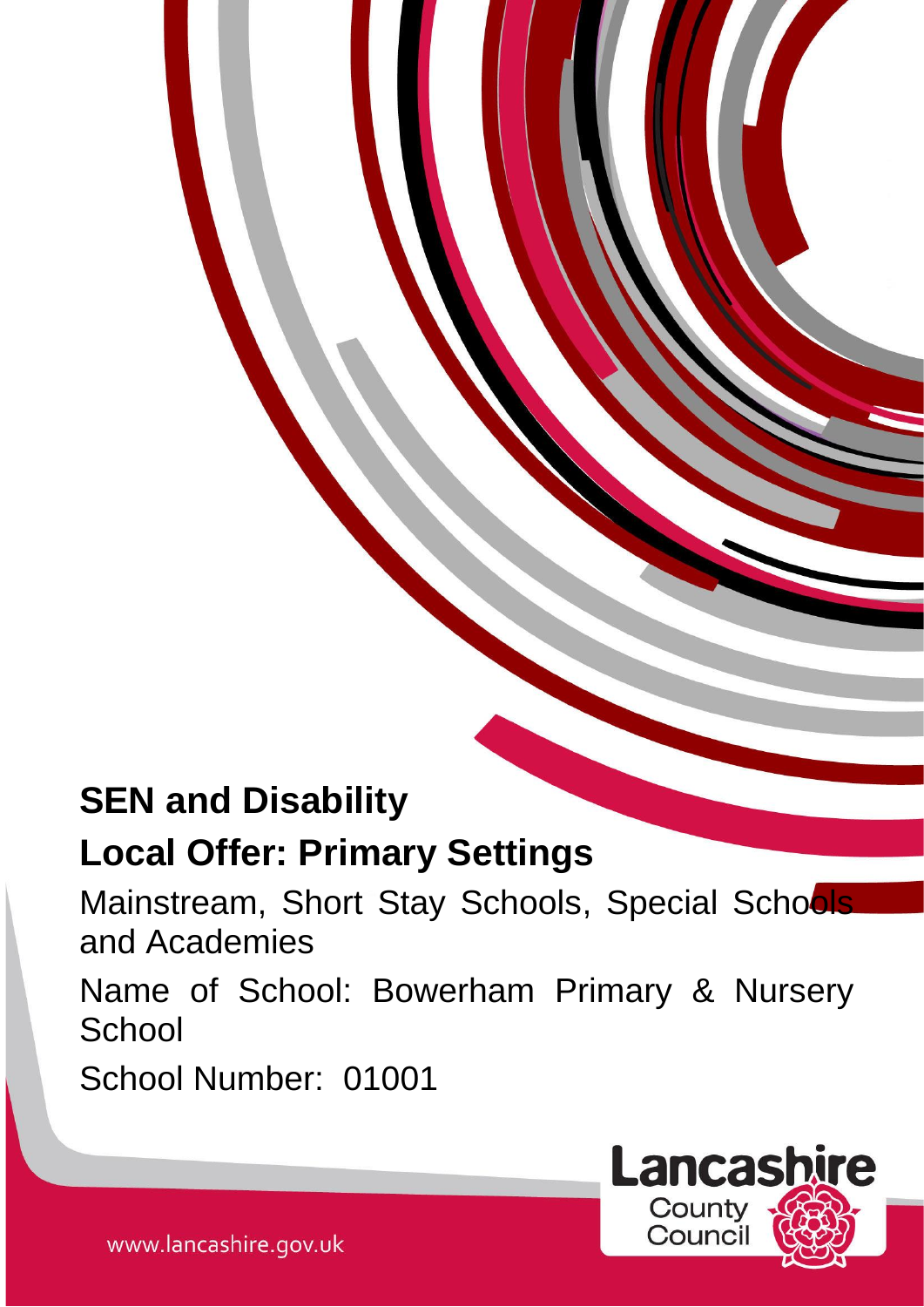# **SEN and Disability**

# **Local Offer: Primary Settings**

Mainstream, Short Stay Schools, Special Schools and Academies

Name of School: Bowerham Primary & Nursery **School** 

School Number: 01001



www.lancashire.gov.uk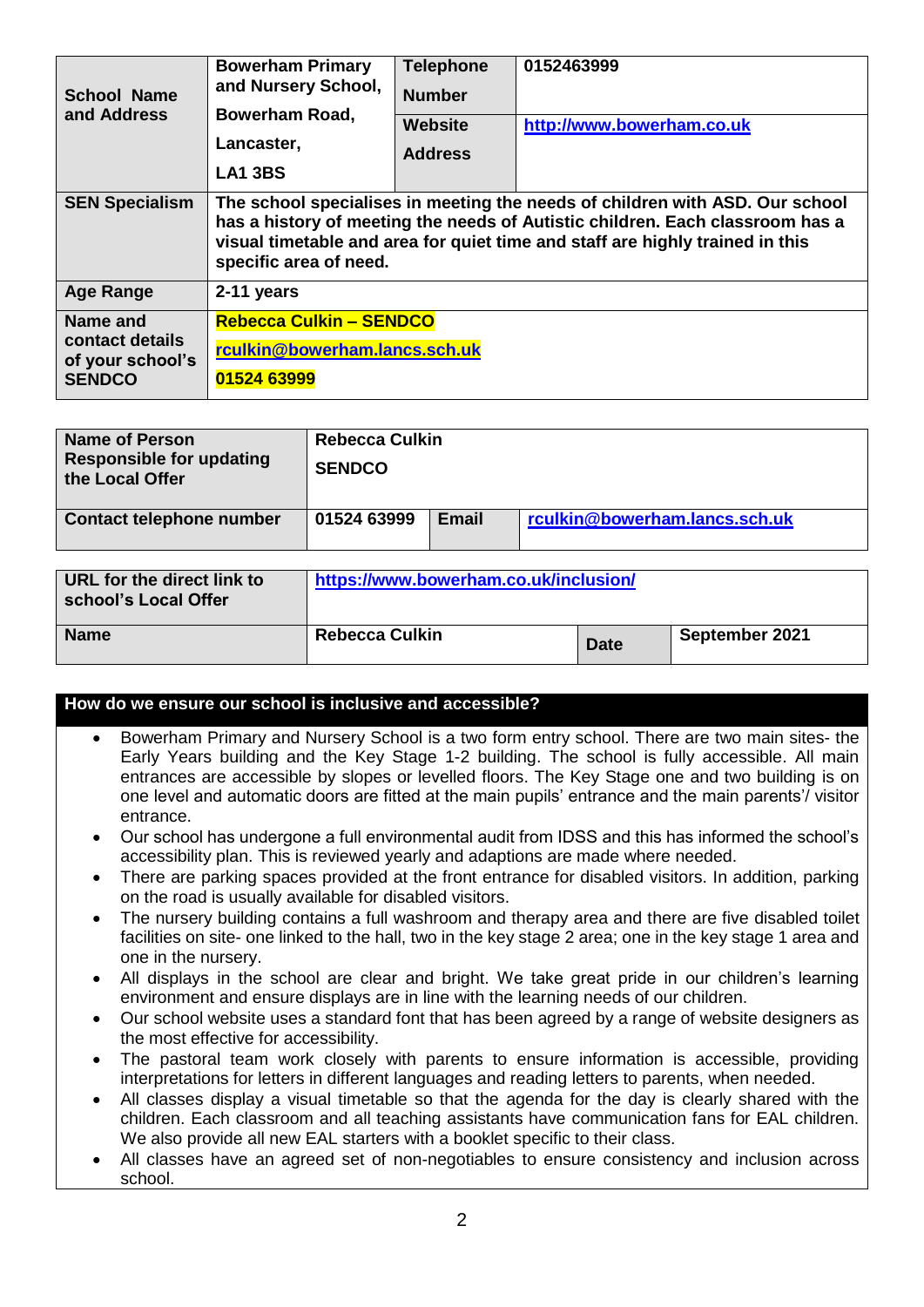| <b>School Name</b><br>and Address               | <b>Bowerham Primary</b><br>and Nursery School,<br>Bowerham Road,<br>Lancaster,<br><b>LA1 3BS</b>                                                                                                                                                                         | <b>Telephone</b><br><b>Number</b><br>Website<br><b>Address</b> | 0152463999<br>http://www.bowerham.co.uk |  |  |
|-------------------------------------------------|--------------------------------------------------------------------------------------------------------------------------------------------------------------------------------------------------------------------------------------------------------------------------|----------------------------------------------------------------|-----------------------------------------|--|--|
| <b>SEN Specialism</b>                           | The school specialises in meeting the needs of children with ASD. Our school<br>has a history of meeting the needs of Autistic children. Each classroom has a<br>visual timetable and area for quiet time and staff are highly trained in this<br>specific area of need. |                                                                |                                         |  |  |
| <b>Age Range</b>                                | 2-11 years                                                                                                                                                                                                                                                               |                                                                |                                         |  |  |
| Name and<br>contact details<br>of your school's | <b>Rebecca Culkin - SENDCO</b><br>rculkin@bowerham.lancs.sch.uk                                                                                                                                                                                                          |                                                                |                                         |  |  |
| <b>SENDCO</b>                                   | 01524 63999                                                                                                                                                                                                                                                              |                                                                |                                         |  |  |

| Name of Person<br><b>Responsible for updating</b><br>the Local Offer | Rebecca Culkin<br><b>SENDCO</b> |              |                               |
|----------------------------------------------------------------------|---------------------------------|--------------|-------------------------------|
| <b>Contact telephone number</b>                                      | 01524 63999                     | <b>Email</b> | rculkin@bowerham.lancs.sch.uk |

| URL for the direct link to<br>school's Local Offer | https://www.bowerham.co.uk/inclusion/ |             |                |  |
|----------------------------------------------------|---------------------------------------|-------------|----------------|--|
| <b>Name</b>                                        | <b>Rebecca Culkin</b>                 | <b>Date</b> | September 2021 |  |

#### **How do we ensure our school is inclusive and accessible?**

- Bowerham Primary and Nursery School is a two form entry school. There are two main sites- the Early Years building and the Key Stage 1-2 building. The school is fully accessible. All main entrances are accessible by slopes or levelled floors. The Key Stage one and two building is on one level and automatic doors are fitted at the main pupils' entrance and the main parents'/ visitor entrance.
- Our school has undergone a full environmental audit from IDSS and this has informed the school's accessibility plan. This is reviewed yearly and adaptions are made where needed.
- There are parking spaces provided at the front entrance for disabled visitors. In addition, parking on the road is usually available for disabled visitors.
- The nursery building contains a full washroom and therapy area and there are five disabled toilet facilities on site- one linked to the hall, two in the key stage 2 area; one in the key stage 1 area and one in the nursery.
- All displays in the school are clear and bright. We take great pride in our children's learning environment and ensure displays are in line with the learning needs of our children.
- Our school website uses a standard font that has been agreed by a range of website designers as the most effective for accessibility.
- The pastoral team work closely with parents to ensure information is accessible, providing interpretations for letters in different languages and reading letters to parents, when needed.
- All classes display a visual timetable so that the agenda for the day is clearly shared with the children. Each classroom and all teaching assistants have communication fans for EAL children. We also provide all new EAL starters with a booklet specific to their class.
- All classes have an agreed set of non-negotiables to ensure consistency and inclusion across school.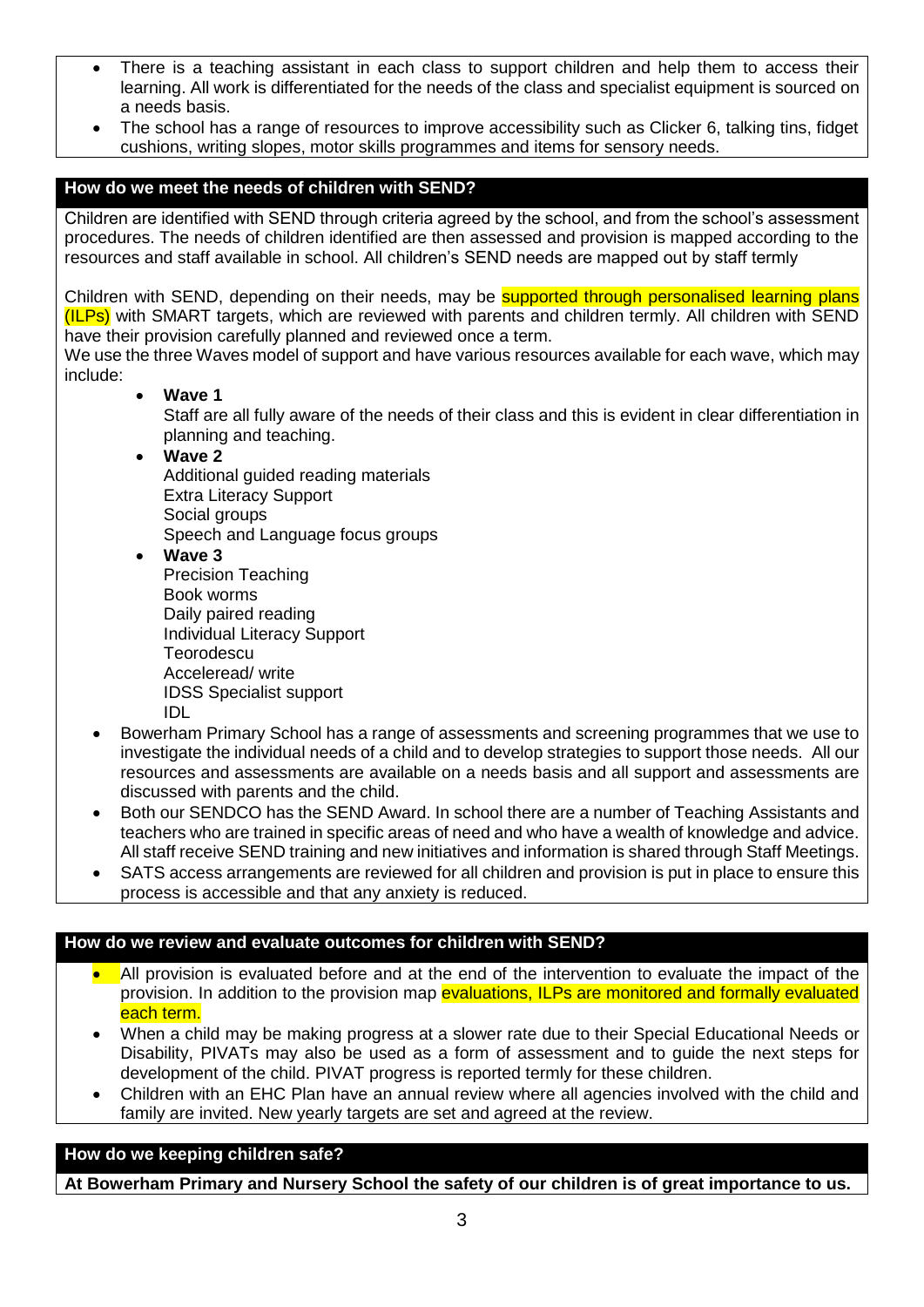- There is a teaching assistant in each class to support children and help them to access their learning. All work is differentiated for the needs of the class and specialist equipment is sourced on a needs basis.
- The school has a range of resources to improve accessibility such as Clicker 6, talking tins, fidget cushions, writing slopes, motor skills programmes and items for sensory needs.

## **How do we meet the needs of children with SEND?**

Children are identified with SEND through criteria agreed by the school, and from the school's assessment procedures. The needs of children identified are then assessed and provision is mapped according to the resources and staff available in school. All children's SEND needs are mapped out by staff termly

Children with SEND, depending on their needs, may be **supported through personalised learning plans** (ILPs) with SMART targets, which are reviewed with parents and children termly. All children with SEND have their provision carefully planned and reviewed once a term.

We use the three Waves model of support and have various resources available for each wave, which may include:

**Wave 1**

Staff are all fully aware of the needs of their class and this is evident in clear differentiation in planning and teaching.

- **Wave 2** Additional guided reading materials Extra Literacy Support Social groups Speech and Language focus groups
- **Wave 3** Precision Teaching Book worms Daily paired reading Individual Literacy Support **Teorodescu** Acceleread/ write IDSS Specialist support IDL
- Bowerham Primary School has a range of assessments and screening programmes that we use to investigate the individual needs of a child and to develop strategies to support those needs. All our resources and assessments are available on a needs basis and all support and assessments are discussed with parents and the child.
- Both our SENDCO has the SEND Award. In school there are a number of Teaching Assistants and teachers who are trained in specific areas of need and who have a wealth of knowledge and advice. All staff receive SEND training and new initiatives and information is shared through Staff Meetings.
- SATS access arrangements are reviewed for all children and provision is put in place to ensure this process is accessible and that any anxiety is reduced.

## **How do we review and evaluate outcomes for children with SEND?**

- All provision is evaluated before and at the end of the intervention to evaluate the impact of the provision. In addition to the provision map evaluations, ILPs are monitored and formally evaluated each term.
- When a child may be making progress at a slower rate due to their Special Educational Needs or Disability, PIVATs may also be used as a form of assessment and to guide the next steps for development of the child. PIVAT progress is reported termly for these children.
- Children with an EHC Plan have an annual review where all agencies involved with the child and family are invited. New yearly targets are set and agreed at the review.

## **How do we keeping children safe?**

**At Bowerham Primary and Nursery School the safety of our children is of great importance to us.**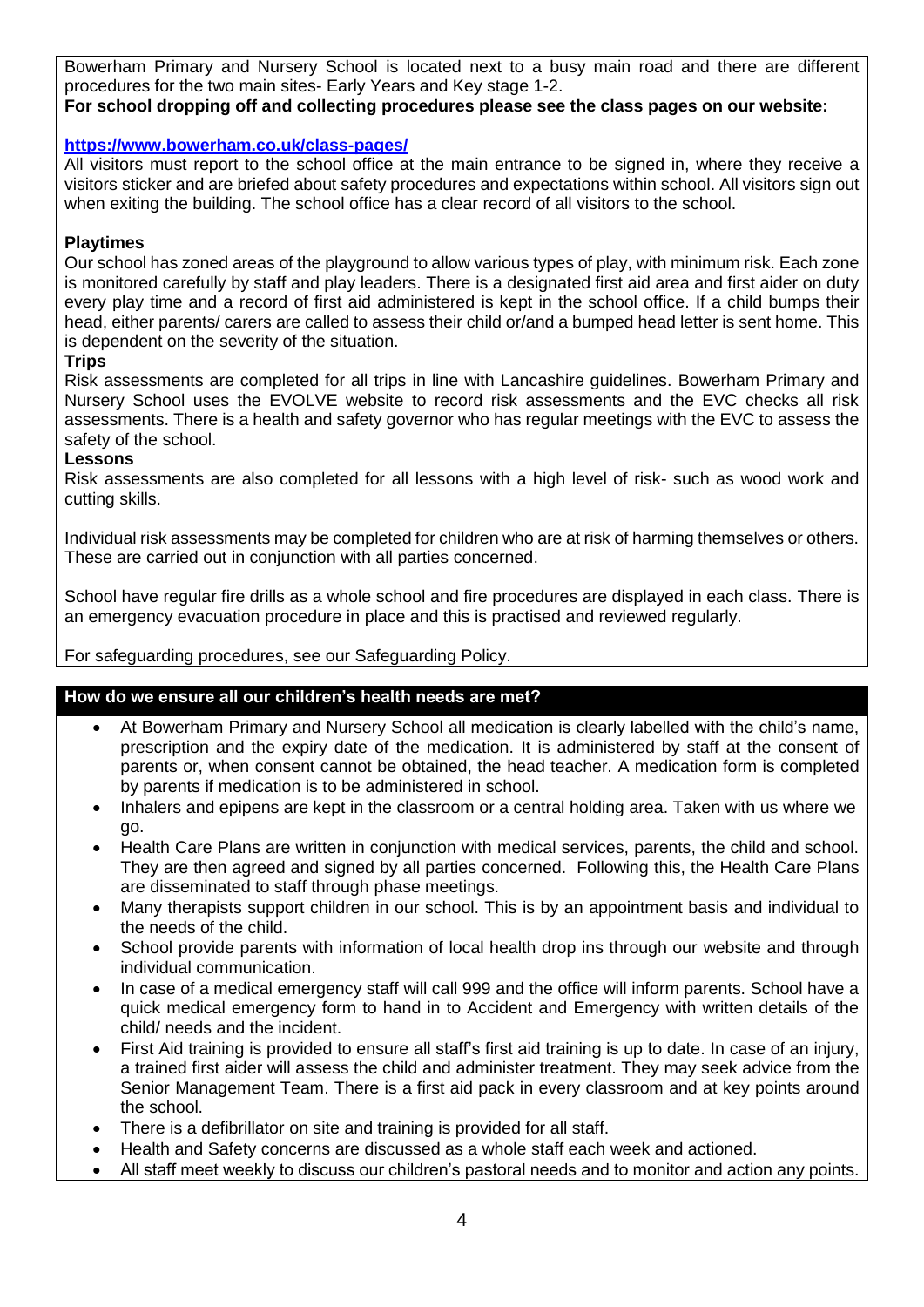Bowerham Primary and Nursery School is located next to a busy main road and there are different procedures for the two main sites- Early Years and Key stage 1-2.

## **For school dropping off and collecting procedures please see the class pages on our website:**

#### **<https://www.bowerham.co.uk/class-pages/>**

All visitors must report to the school office at the main entrance to be signed in, where they receive a visitors sticker and are briefed about safety procedures and expectations within school. All visitors sign out when exiting the building. The school office has a clear record of all visitors to the school.

### **Playtimes**

Our school has zoned areas of the playground to allow various types of play, with minimum risk. Each zone is monitored carefully by staff and play leaders. There is a designated first aid area and first aider on duty every play time and a record of first aid administered is kept in the school office. If a child bumps their head, either parents/ carers are called to assess their child or/and a bumped head letter is sent home. This is dependent on the severity of the situation.

#### **Trips**

Risk assessments are completed for all trips in line with Lancashire guidelines. Bowerham Primary and Nursery School uses the EVOLVE website to record risk assessments and the EVC checks all risk assessments. There is a health and safety governor who has regular meetings with the EVC to assess the safety of the school.

#### **Lessons**

Risk assessments are also completed for all lessons with a high level of risk- such as wood work and cutting skills.

Individual risk assessments may be completed for children who are at risk of harming themselves or others. These are carried out in conjunction with all parties concerned.

School have regular fire drills as a whole school and fire procedures are displayed in each class. There is an emergency evacuation procedure in place and this is practised and reviewed regularly.

For safeguarding procedures, see our Safeguarding Policy.

## **How do we ensure all our children's health needs are met?**

- At Bowerham Primary and Nursery School all medication is clearly labelled with the child's name, prescription and the expiry date of the medication. It is administered by staff at the consent of parents or, when consent cannot be obtained, the head teacher. A medication form is completed by parents if medication is to be administered in school.
- Inhalers and epipens are kept in the classroom or a central holding area. Taken with us where we go.
- Health Care Plans are written in conjunction with medical services, parents, the child and school. They are then agreed and signed by all parties concerned. Following this, the Health Care Plans are disseminated to staff through phase meetings.
- Many therapists support children in our school. This is by an appointment basis and individual to the needs of the child.
- School provide parents with information of local health drop ins through our website and through individual communication.
- In case of a medical emergency staff will call 999 and the office will inform parents. School have a quick medical emergency form to hand in to Accident and Emergency with written details of the child/ needs and the incident.
- First Aid training is provided to ensure all staff's first aid training is up to date. In case of an injury, a trained first aider will assess the child and administer treatment. They may seek advice from the Senior Management Team. There is a first aid pack in every classroom and at key points around the school.
- There is a defibrillator on site and training is provided for all staff.
- Health and Safety concerns are discussed as a whole staff each week and actioned.
- All staff meet weekly to discuss our children's pastoral needs and to monitor and action any points.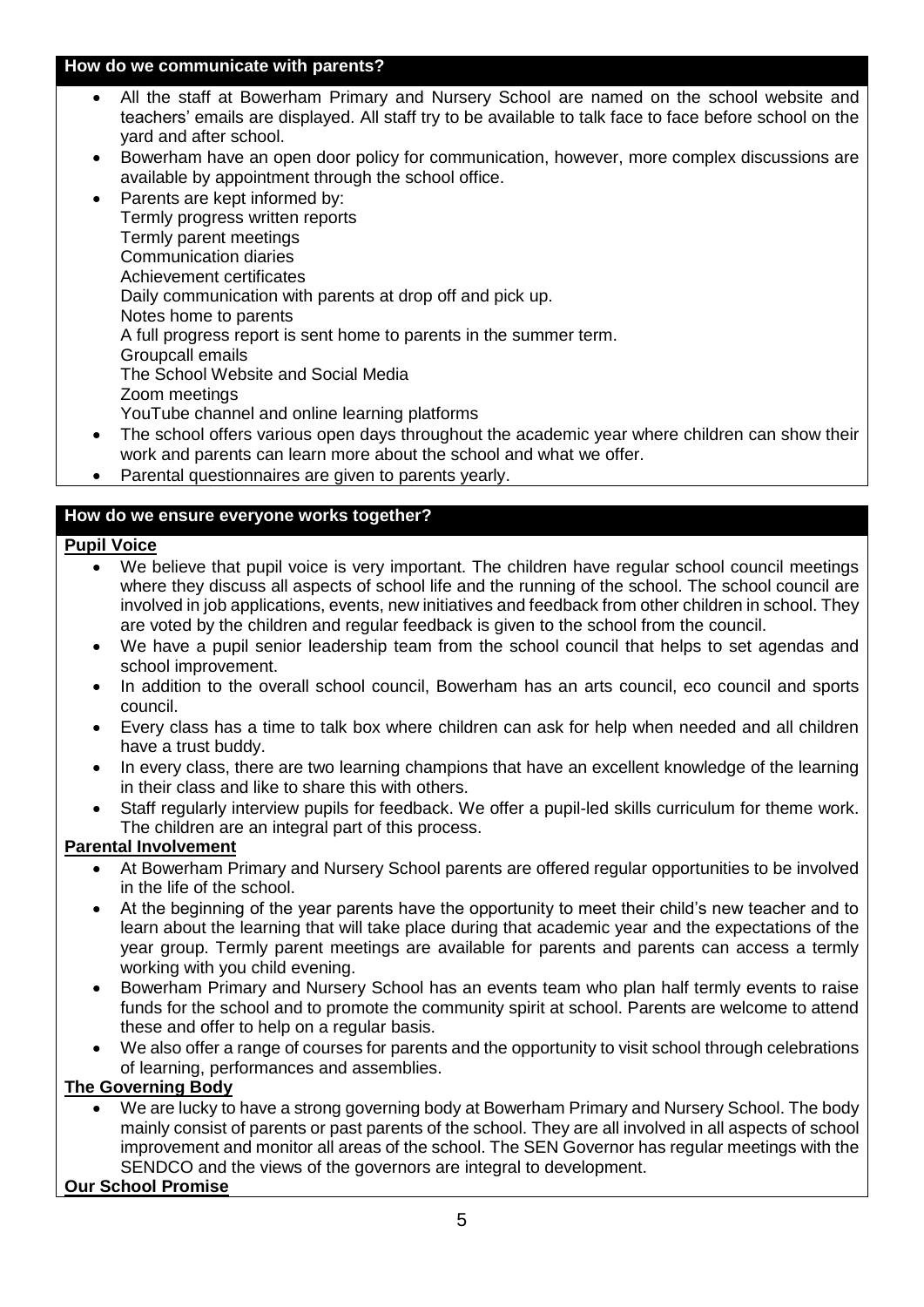#### **How do we communicate with parents?**

- All the staff at Bowerham Primary and Nursery School are named on the school website and teachers' emails are displayed. All staff try to be available to talk face to face before school on the yard and after school.
- Bowerham have an open door policy for communication, however, more complex discussions are available by appointment through the school office.
- Parents are kept informed by: Termly progress written reports Termly parent meetings Communication diaries Achievement certificates Daily communication with parents at drop off and pick up. Notes home to parents A full progress report is sent home to parents in the summer term. Groupcall emails The School Website and Social Media Zoom meetings YouTube channel and online learning platforms
- The school offers various open days throughout the academic year where children can show their work and parents can learn more about the school and what we offer.
- Parental questionnaires are given to parents yearly.

## **How do we ensure everyone works together?**

## **Pupil Voice**

- We believe that pupil voice is very important. The children have regular school council meetings where they discuss all aspects of school life and the running of the school. The school council are involved in job applications, events, new initiatives and feedback from other children in school. They are voted by the children and regular feedback is given to the school from the council.
- We have a pupil senior leadership team from the school council that helps to set agendas and school improvement.
- In addition to the overall school council, Bowerham has an arts council, eco council and sports council.
- Every class has a time to talk box where children can ask for help when needed and all children have a trust buddy.
- In every class, there are two learning champions that have an excellent knowledge of the learning in their class and like to share this with others.
- Staff regularly interview pupils for feedback. We offer a pupil-led skills curriculum for theme work. The children are an integral part of this process.

## **Parental Involvement**

- At Bowerham Primary and Nursery School parents are offered regular opportunities to be involved in the life of the school.
- At the beginning of the year parents have the opportunity to meet their child's new teacher and to learn about the learning that will take place during that academic year and the expectations of the year group. Termly parent meetings are available for parents and parents can access a termly working with you child evening.
- Bowerham Primary and Nursery School has an events team who plan half termly events to raise funds for the school and to promote the community spirit at school. Parents are welcome to attend these and offer to help on a regular basis.
- We also offer a range of courses for parents and the opportunity to visit school through celebrations of learning, performances and assemblies.

#### **The Governing Body**

 We are lucky to have a strong governing body at Bowerham Primary and Nursery School. The body mainly consist of parents or past parents of the school. They are all involved in all aspects of school improvement and monitor all areas of the school. The SEN Governor has regular meetings with the SENDCO and the views of the governors are integral to development.

#### **Our School Promise**